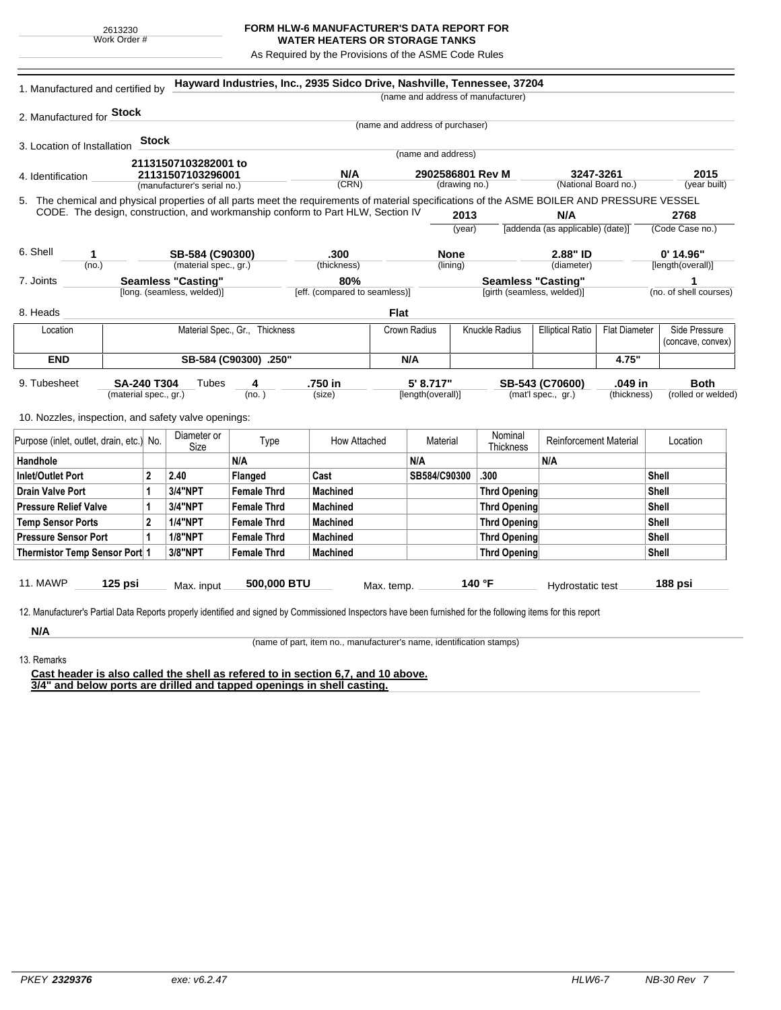## **FORM HLW-6 MANUFACTURER'S DATA REPORT FOR WATER HEATERS OR STORAGE TANKS**

As Required by the Provisions of the ASME Code Rules

| (name and address of manufacturer)<br>2. Manufactured for <b>Stock</b><br>(name and address of purchaser)<br><b>Stock</b><br>3. Location of Installation<br>(name and address)<br>21131507103282001 to<br>N/A<br>2902586801 Rev M<br>3247-3261<br>21131507103296001<br>4. Identification<br>(CRN)<br>(National Board no.)<br>(drawing no.)<br>(manufacturer's serial no.)<br>CODE. The design, construction, and workmanship conform to Part HLW, Section IV<br>2013<br>N/A<br>2768<br>[addenda (as applicable) (date)]<br>(year)<br>SB-584 (C90300)<br>.300<br><b>None</b><br>2.88" ID<br>$0'$ 14.96"<br>1<br>(material spec., gr.)<br>(no.)<br>(thickness)<br>(lining)<br>(diameter)<br><b>Seamless "Casting"</b><br>80%<br><b>Seamless "Casting"</b><br>1<br>[long. (seamless, welded)]<br>[eff. (compared to seamless)]<br>[girth (seamless, welded)]<br>Flat<br>Knuckle Radius<br>Material Spec., Gr., Thickness<br>Crown Radius<br><b>Elliptical Ratio</b><br><b>Flat Diameter</b><br>Location<br><b>END</b><br>SB-584 (C90300) .250"<br>N/A<br>4.75"<br><b>SA-240 T304</b><br>.750 in<br>5' 8.717"<br>.049 in<br>Tubes<br>4<br>SB-543 (C70600)<br>(material spec., gr.)<br>(no. )<br>(size)<br>[length(overall)]<br>(mat'l spec., gr.)<br>(thickness)<br>Nominal<br>Diameter or<br>How Attached<br><b>Reinforcement Material</b><br>Type<br>Material<br>Location<br>Size<br>Thickness<br>N/A<br>N/A<br>N/A<br>$\mathbf{2}$<br>2.40<br>SB584/C90300<br>.300<br>Flanged<br>Cast<br>Shell<br><b>3/4"NPT</b><br>1<br><b>Female Thrd</b><br><b>Machined</b><br><b>Thrd Opening</b><br>Shell<br>3/4"NPT<br><b>Machined</b><br>Shell<br>1<br><b>Female Thrd</b><br><b>Thrd Opening</b><br>$\overline{2}$<br><b>1/4"NPT</b><br><b>Female Thrd</b><br><b>Machined</b><br>Shell<br><b>Thrd Opening</b><br><b>1/8"NPT</b><br>1<br><b>Female Thrd</b><br><b>Machined</b><br>Shell<br><b>Thrd Opening</b><br>3/8"NPT<br><b>Female Thrd</b><br><b>Machined</b><br><b>Thrd Opening</b><br>Shell | 1. Manufactured and certified by |  |  |  | Hayward Industries, Inc., 2935 Sidco Drive, Nashville, Tennessee, 37204 |  |  |  |  |  |  |                        |  |
|-----------------------------------------------------------------------------------------------------------------------------------------------------------------------------------------------------------------------------------------------------------------------------------------------------------------------------------------------------------------------------------------------------------------------------------------------------------------------------------------------------------------------------------------------------------------------------------------------------------------------------------------------------------------------------------------------------------------------------------------------------------------------------------------------------------------------------------------------------------------------------------------------------------------------------------------------------------------------------------------------------------------------------------------------------------------------------------------------------------------------------------------------------------------------------------------------------------------------------------------------------------------------------------------------------------------------------------------------------------------------------------------------------------------------------------------------------------------------------------------------------------------------------------------------------------------------------------------------------------------------------------------------------------------------------------------------------------------------------------------------------------------------------------------------------------------------------------------------------------------------------------------------------------------------------------------------------------------------------------------|----------------------------------|--|--|--|-------------------------------------------------------------------------|--|--|--|--|--|--|------------------------|--|
|                                                                                                                                                                                                                                                                                                                                                                                                                                                                                                                                                                                                                                                                                                                                                                                                                                                                                                                                                                                                                                                                                                                                                                                                                                                                                                                                                                                                                                                                                                                                                                                                                                                                                                                                                                                                                                                                                                                                                                                         |                                  |  |  |  |                                                                         |  |  |  |  |  |  |                        |  |
|                                                                                                                                                                                                                                                                                                                                                                                                                                                                                                                                                                                                                                                                                                                                                                                                                                                                                                                                                                                                                                                                                                                                                                                                                                                                                                                                                                                                                                                                                                                                                                                                                                                                                                                                                                                                                                                                                                                                                                                         |                                  |  |  |  |                                                                         |  |  |  |  |  |  |                        |  |
|                                                                                                                                                                                                                                                                                                                                                                                                                                                                                                                                                                                                                                                                                                                                                                                                                                                                                                                                                                                                                                                                                                                                                                                                                                                                                                                                                                                                                                                                                                                                                                                                                                                                                                                                                                                                                                                                                                                                                                                         |                                  |  |  |  |                                                                         |  |  |  |  |  |  |                        |  |
|                                                                                                                                                                                                                                                                                                                                                                                                                                                                                                                                                                                                                                                                                                                                                                                                                                                                                                                                                                                                                                                                                                                                                                                                                                                                                                                                                                                                                                                                                                                                                                                                                                                                                                                                                                                                                                                                                                                                                                                         |                                  |  |  |  |                                                                         |  |  |  |  |  |  |                        |  |
| 5. The chemical and physical properties of all parts meet the requirements of material specifications of the ASME BOILER AND PRESSURE VESSEL<br>6. Shell<br>7. Joints<br>8. Heads                                                                                                                                                                                                                                                                                                                                                                                                                                                                                                                                                                                                                                                                                                                                                                                                                                                                                                                                                                                                                                                                                                                                                                                                                                                                                                                                                                                                                                                                                                                                                                                                                                                                                                                                                                                                       |                                  |  |  |  |                                                                         |  |  |  |  |  |  | 2015                   |  |
|                                                                                                                                                                                                                                                                                                                                                                                                                                                                                                                                                                                                                                                                                                                                                                                                                                                                                                                                                                                                                                                                                                                                                                                                                                                                                                                                                                                                                                                                                                                                                                                                                                                                                                                                                                                                                                                                                                                                                                                         |                                  |  |  |  |                                                                         |  |  |  |  |  |  | (year built)           |  |
|                                                                                                                                                                                                                                                                                                                                                                                                                                                                                                                                                                                                                                                                                                                                                                                                                                                                                                                                                                                                                                                                                                                                                                                                                                                                                                                                                                                                                                                                                                                                                                                                                                                                                                                                                                                                                                                                                                                                                                                         |                                  |  |  |  |                                                                         |  |  |  |  |  |  |                        |  |
|                                                                                                                                                                                                                                                                                                                                                                                                                                                                                                                                                                                                                                                                                                                                                                                                                                                                                                                                                                                                                                                                                                                                                                                                                                                                                                                                                                                                                                                                                                                                                                                                                                                                                                                                                                                                                                                                                                                                                                                         |                                  |  |  |  |                                                                         |  |  |  |  |  |  |                        |  |
|                                                                                                                                                                                                                                                                                                                                                                                                                                                                                                                                                                                                                                                                                                                                                                                                                                                                                                                                                                                                                                                                                                                                                                                                                                                                                                                                                                                                                                                                                                                                                                                                                                                                                                                                                                                                                                                                                                                                                                                         |                                  |  |  |  |                                                                         |  |  |  |  |  |  | (Code Case no.)        |  |
|                                                                                                                                                                                                                                                                                                                                                                                                                                                                                                                                                                                                                                                                                                                                                                                                                                                                                                                                                                                                                                                                                                                                                                                                                                                                                                                                                                                                                                                                                                                                                                                                                                                                                                                                                                                                                                                                                                                                                                                         |                                  |  |  |  |                                                                         |  |  |  |  |  |  |                        |  |
|                                                                                                                                                                                                                                                                                                                                                                                                                                                                                                                                                                                                                                                                                                                                                                                                                                                                                                                                                                                                                                                                                                                                                                                                                                                                                                                                                                                                                                                                                                                                                                                                                                                                                                                                                                                                                                                                                                                                                                                         |                                  |  |  |  |                                                                         |  |  |  |  |  |  | [length(overall)]      |  |
|                                                                                                                                                                                                                                                                                                                                                                                                                                                                                                                                                                                                                                                                                                                                                                                                                                                                                                                                                                                                                                                                                                                                                                                                                                                                                                                                                                                                                                                                                                                                                                                                                                                                                                                                                                                                                                                                                                                                                                                         |                                  |  |  |  |                                                                         |  |  |  |  |  |  |                        |  |
|                                                                                                                                                                                                                                                                                                                                                                                                                                                                                                                                                                                                                                                                                                                                                                                                                                                                                                                                                                                                                                                                                                                                                                                                                                                                                                                                                                                                                                                                                                                                                                                                                                                                                                                                                                                                                                                                                                                                                                                         |                                  |  |  |  |                                                                         |  |  |  |  |  |  | (no. of shell courses) |  |
|                                                                                                                                                                                                                                                                                                                                                                                                                                                                                                                                                                                                                                                                                                                                                                                                                                                                                                                                                                                                                                                                                                                                                                                                                                                                                                                                                                                                                                                                                                                                                                                                                                                                                                                                                                                                                                                                                                                                                                                         |                                  |  |  |  |                                                                         |  |  |  |  |  |  |                        |  |
|                                                                                                                                                                                                                                                                                                                                                                                                                                                                                                                                                                                                                                                                                                                                                                                                                                                                                                                                                                                                                                                                                                                                                                                                                                                                                                                                                                                                                                                                                                                                                                                                                                                                                                                                                                                                                                                                                                                                                                                         |                                  |  |  |  |                                                                         |  |  |  |  |  |  | Side Pressure          |  |
| 9. Tubesheet<br>10. Nozzles, inspection, and safety valve openings:<br>Purpose (inlet, outlet, drain, etc.) No.<br>Handhole<br>Inlet/Outlet Port<br><b>Drain Valve Port</b><br><b>Pressure Relief Valve</b><br><b>Temp Sensor Ports</b><br><b>Pressure Sensor Port</b><br>Thermistor Temp Sensor Port 1                                                                                                                                                                                                                                                                                                                                                                                                                                                                                                                                                                                                                                                                                                                                                                                                                                                                                                                                                                                                                                                                                                                                                                                                                                                                                                                                                                                                                                                                                                                                                                                                                                                                                 |                                  |  |  |  |                                                                         |  |  |  |  |  |  | (concave, convex)      |  |
|                                                                                                                                                                                                                                                                                                                                                                                                                                                                                                                                                                                                                                                                                                                                                                                                                                                                                                                                                                                                                                                                                                                                                                                                                                                                                                                                                                                                                                                                                                                                                                                                                                                                                                                                                                                                                                                                                                                                                                                         |                                  |  |  |  |                                                                         |  |  |  |  |  |  |                        |  |
|                                                                                                                                                                                                                                                                                                                                                                                                                                                                                                                                                                                                                                                                                                                                                                                                                                                                                                                                                                                                                                                                                                                                                                                                                                                                                                                                                                                                                                                                                                                                                                                                                                                                                                                                                                                                                                                                                                                                                                                         |                                  |  |  |  |                                                                         |  |  |  |  |  |  | <b>Both</b>            |  |
|                                                                                                                                                                                                                                                                                                                                                                                                                                                                                                                                                                                                                                                                                                                                                                                                                                                                                                                                                                                                                                                                                                                                                                                                                                                                                                                                                                                                                                                                                                                                                                                                                                                                                                                                                                                                                                                                                                                                                                                         |                                  |  |  |  |                                                                         |  |  |  |  |  |  | (rolled or welded)     |  |
|                                                                                                                                                                                                                                                                                                                                                                                                                                                                                                                                                                                                                                                                                                                                                                                                                                                                                                                                                                                                                                                                                                                                                                                                                                                                                                                                                                                                                                                                                                                                                                                                                                                                                                                                                                                                                                                                                                                                                                                         |                                  |  |  |  |                                                                         |  |  |  |  |  |  |                        |  |
|                                                                                                                                                                                                                                                                                                                                                                                                                                                                                                                                                                                                                                                                                                                                                                                                                                                                                                                                                                                                                                                                                                                                                                                                                                                                                                                                                                                                                                                                                                                                                                                                                                                                                                                                                                                                                                                                                                                                                                                         |                                  |  |  |  |                                                                         |  |  |  |  |  |  |                        |  |
|                                                                                                                                                                                                                                                                                                                                                                                                                                                                                                                                                                                                                                                                                                                                                                                                                                                                                                                                                                                                                                                                                                                                                                                                                                                                                                                                                                                                                                                                                                                                                                                                                                                                                                                                                                                                                                                                                                                                                                                         |                                  |  |  |  |                                                                         |  |  |  |  |  |  |                        |  |
|                                                                                                                                                                                                                                                                                                                                                                                                                                                                                                                                                                                                                                                                                                                                                                                                                                                                                                                                                                                                                                                                                                                                                                                                                                                                                                                                                                                                                                                                                                                                                                                                                                                                                                                                                                                                                                                                                                                                                                                         |                                  |  |  |  |                                                                         |  |  |  |  |  |  |                        |  |
|                                                                                                                                                                                                                                                                                                                                                                                                                                                                                                                                                                                                                                                                                                                                                                                                                                                                                                                                                                                                                                                                                                                                                                                                                                                                                                                                                                                                                                                                                                                                                                                                                                                                                                                                                                                                                                                                                                                                                                                         |                                  |  |  |  |                                                                         |  |  |  |  |  |  |                        |  |
|                                                                                                                                                                                                                                                                                                                                                                                                                                                                                                                                                                                                                                                                                                                                                                                                                                                                                                                                                                                                                                                                                                                                                                                                                                                                                                                                                                                                                                                                                                                                                                                                                                                                                                                                                                                                                                                                                                                                                                                         |                                  |  |  |  |                                                                         |  |  |  |  |  |  |                        |  |
|                                                                                                                                                                                                                                                                                                                                                                                                                                                                                                                                                                                                                                                                                                                                                                                                                                                                                                                                                                                                                                                                                                                                                                                                                                                                                                                                                                                                                                                                                                                                                                                                                                                                                                                                                                                                                                                                                                                                                                                         |                                  |  |  |  |                                                                         |  |  |  |  |  |  |                        |  |
|                                                                                                                                                                                                                                                                                                                                                                                                                                                                                                                                                                                                                                                                                                                                                                                                                                                                                                                                                                                                                                                                                                                                                                                                                                                                                                                                                                                                                                                                                                                                                                                                                                                                                                                                                                                                                                                                                                                                                                                         |                                  |  |  |  |                                                                         |  |  |  |  |  |  |                        |  |
|                                                                                                                                                                                                                                                                                                                                                                                                                                                                                                                                                                                                                                                                                                                                                                                                                                                                                                                                                                                                                                                                                                                                                                                                                                                                                                                                                                                                                                                                                                                                                                                                                                                                                                                                                                                                                                                                                                                                                                                         |                                  |  |  |  |                                                                         |  |  |  |  |  |  |                        |  |
|                                                                                                                                                                                                                                                                                                                                                                                                                                                                                                                                                                                                                                                                                                                                                                                                                                                                                                                                                                                                                                                                                                                                                                                                                                                                                                                                                                                                                                                                                                                                                                                                                                                                                                                                                                                                                                                                                                                                                                                         |                                  |  |  |  |                                                                         |  |  |  |  |  |  |                        |  |
|                                                                                                                                                                                                                                                                                                                                                                                                                                                                                                                                                                                                                                                                                                                                                                                                                                                                                                                                                                                                                                                                                                                                                                                                                                                                                                                                                                                                                                                                                                                                                                                                                                                                                                                                                                                                                                                                                                                                                                                         |                                  |  |  |  |                                                                         |  |  |  |  |  |  |                        |  |
| 140 °F<br>500,000 BTU<br>Max. input<br>Hydrostatic test<br>Max. temp.                                                                                                                                                                                                                                                                                                                                                                                                                                                                                                                                                                                                                                                                                                                                                                                                                                                                                                                                                                                                                                                                                                                                                                                                                                                                                                                                                                                                                                                                                                                                                                                                                                                                                                                                                                                                                                                                                                                   | <b>11. MAWP</b><br>125 psi       |  |  |  |                                                                         |  |  |  |  |  |  | 188 psi                |  |
| 12. Manufacturer's Partial Data Reports properly identified and signed by Commissioned Inspectors have been furnished for the following items for this report                                                                                                                                                                                                                                                                                                                                                                                                                                                                                                                                                                                                                                                                                                                                                                                                                                                                                                                                                                                                                                                                                                                                                                                                                                                                                                                                                                                                                                                                                                                                                                                                                                                                                                                                                                                                                           |                                  |  |  |  |                                                                         |  |  |  |  |  |  |                        |  |
| N/A                                                                                                                                                                                                                                                                                                                                                                                                                                                                                                                                                                                                                                                                                                                                                                                                                                                                                                                                                                                                                                                                                                                                                                                                                                                                                                                                                                                                                                                                                                                                                                                                                                                                                                                                                                                                                                                                                                                                                                                     |                                  |  |  |  |                                                                         |  |  |  |  |  |  |                        |  |

(name of part, item no., manufacturer's name, identification stamps)

13. Remarks

**Cast header is also called the shell as refered to in section 6,7, and 10 above. 3/4" and below ports are drilled and tapped openings in shell casting.**